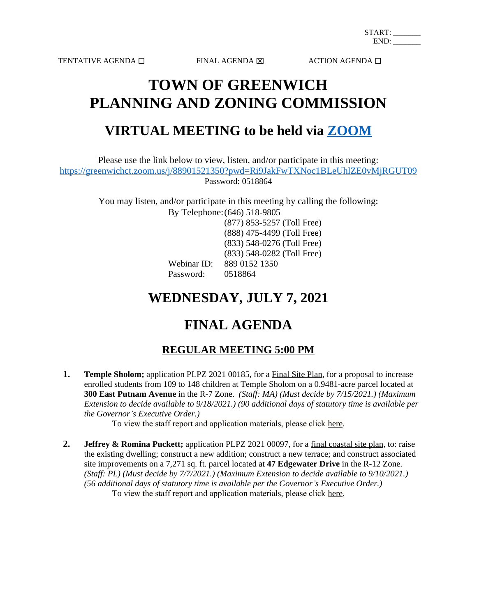TENTATIVE AGENDA  $\square$ <br/> $\blacksquare$ <br/> $\blacksquare$ <br/> $\blacksquare$ <br/> $\blacksquare$ 

# **TOWN OF GREENWICH PLANNING AND ZONING COMMISSION**

### **VIRTUAL MEETING to be held via [ZOOM](https://zoom.us/)**

Please use the link below to view, listen, and/or participate in this meeting: <https://greenwichct.zoom.us/j/88901521350?pwd=Ri9JakFwTXNoc1BLeUhlZE0vMjRGUT09> Password: 0518864

> You may listen, and/or participate in this meeting by calling the following: By Telephone:(646) 518-9805

(877) 853-5257 (Toll Free) (888) 475-4499 (Toll Free) (833) 548-0276 (Toll Free) (833) 548-0282 (Toll Free) Webinar ID: 889 0152 1350

Password: 0518864

## **WEDNESDAY, JULY 7, 2021**

## **FINAL AGENDA**

### **REGULAR MEETING 5:00 PM**

**1. Temple Sholom;** application PLPZ 2021 00185, for a Final Site Plan, for a proposal to increase enrolled students from 109 to 148 children at Temple Sholom on a 0.9481-acre parcel located at **300 East Putnam Avenue** in the R-7 Zone. *(Staff: MA) (Must decide by 7/15/2021.) (Maximum Extension to decide available to 9/18/2021.) (90 additional days of statutory time is available per the Governor's Executive Order.)*

To view the staff report and application materials, please click [here.](https://www.greenwichct.gov/DocumentCenter/View/23401/Staff-report-PLPZ202100185-Temple-Sholom-300-EAst-Putnam-Ave)

**2. Jeffrey & Romina Puckett;** application PLPZ 2021 00097, for a final coastal site plan, to: raise the existing dwelling; construct a new addition; construct a new terrace; and construct associated site improvements on a 7,271 sq. ft. parcel located at **47 Edgewater Drive** in the R-12 Zone. *(Staff: PL) (Must decide by 7/7/2021.) (Maximum Extension to decide available to 9/10/2021.) (56 additional days of statutory time is available per the Governor's Executive Order.)* To view the staff report and application materials, please click [here.](https://www.greenwichct.gov/DocumentCenter/View/23397/PLPZ-2021-00097---47-Edgewater-Drive---Puckett---Staff-Report-for-web)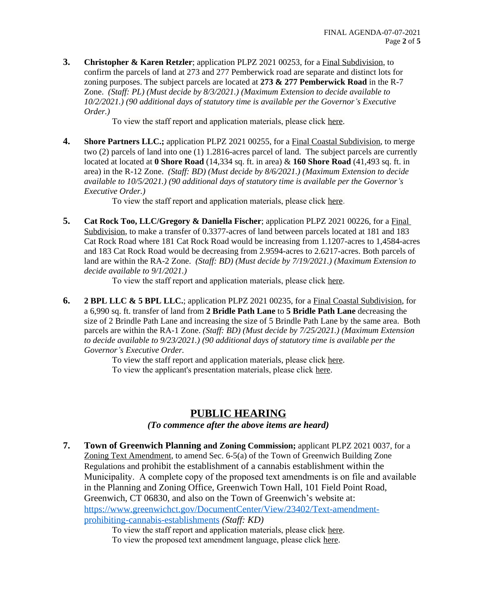**3. Christopher & Karen Retzler**; application PLPZ 2021 00253, for a Final Subdivision, to confirm the parcels of land at 273 and 277 Pemberwick road are separate and distinct lots for zoning purposes. The subject parcels are located at **273 & 277 Pemberwick Road** in the R-7 Zone. *(Staff: PL) (Must decide by 8/3/2021.) (Maximum Extension to decide available to 10/2/2021.) (90 additional days of statutory time is available per the Governor's Executive Order.)*

To view the staff report and application materials, please click [here.](https://www.greenwichct.gov/DocumentCenter/View/23396/PLPZ-2021-00253---subdivision---273-and-277-Pemberwick-Road---Retzler---staff-report-for-web)

**4. Shore Partners LLC.;** application PLPZ 2021 00255, for a Final Coastal Subdivision, to merge two (2) parcels of land into one (1) 1.2816-acres parcel of land. The subject parcels are currently located at located at **0 Shore Road** (14,334 sq. ft. in area) & **160 Shore Road** (41,493 sq. ft. in area) in the R-12 Zone. *(Staff: BD) (Must decide by 8/6/2021.) (Maximum Extension to decide available to 10/5/2021.) (90 additional days of statutory time is available per the Governor's Executive Order.)*

To view the staff report and application materials, please click [here](https://www.greenwichct.gov/DocumentCenter/View/23399/0-and-160-Shore-Road---PLPZ-2021-00255---FSBC---LLR-Staff-report-reduced).

**5. Cat Rock Too, LLC/Gregory & Daniella Fischer**; application PLPZ 2021 00226, for a Final Subdivision, to make a transfer of 0.3377-acres of land between parcels located at 181 and 183 Cat Rock Road where 181 Cat Rock Road would be increasing from 1.1207-acres to 1,4584-acres and 183 Cat Rock Road would be decreasing from 2.9594-acres to 2.6217-acres. Both parcels of land are within the RA-2 Zone. *(Staff: BD) (Must decide by 7/19/2021.) (Maximum Extension to decide available to 9/1/2021.)*

To view the staff report and application materials, please click [here.](https://www.greenwichct.gov/DocumentCenter/View/23390/PLPZ-202100226---181-and-183-Cat-Rock-Road---FSB-LLR-staff-report-reduced)

**6. 2 BPL LLC & 5 BPL LLC.**; application PLPZ 2021 00235, for a Final Coastal Subdivision, for a 6,990 sq. ft. transfer of land from **2 Bridle Path Lane** to **5 Bridle Path Lane** decreasing the size of 2 Brindle Path Lane and increasing the size of 5 Brindle Path Lane by the same area. Both parcels are within the RA-1 Zone. *(Staff: BD) (Must decide by 7/25/2021.) (Maximum Extension to decide available to 9/23/2021.) (90 additional days of statutory time is available per the Governor's Executive Order.*

To view the staff report and application materials, please click [here.](https://www.greenwichct.gov/DocumentCenter/View/23394/PLPZ-202100235---2-and-5-Bridle-Path-Lane---FSBC-LLR-staff-report---reduced-2)

[To view the applicant's presentation materials, please click](https://www.greenwichct.gov/DocumentCenter/View/23394/PLPZ-202100235---2-and-5-Bridle-Path-Lane---FSBC-LLR-staff-report---reduced-2) [here.](https://www.greenwichct.gov/DocumentCenter/View/23400/2and5-BPL-Presentation-07-07-2021)

### **[PUBLIC HEARING](https://www.greenwichct.gov/DocumentCenter/View/23400/2and5-BPL-Presentation-07-07-2021)**

*[\(To commence after the above items are heard\)](https://www.greenwichct.gov/DocumentCenter/View/23400/2and5-BPL-Presentation-07-07-2021)*

**7. [Town of Greenwich Planning](https://www.greenwichct.gov/DocumentCenter/View/23400/2and5-BPL-Presentation-07-07-2021) [and Zoning Commission;](https://www.greenwichct.gov/DocumentCenter/View/23400/2and5-BPL-Presentation-07-07-2021)** [applicant PLPZ 2021 0037, for a](https://www.greenwichct.gov/DocumentCenter/View/23400/2and5-BPL-Presentation-07-07-2021)  [Zoning Text Amendment, to amend Sec. 6-5\(a\) of the Town of Greenwich Building Zone](https://www.greenwichct.gov/DocumentCenter/View/23400/2and5-BPL-Presentation-07-07-2021)  [Regulations and](https://www.greenwichct.gov/DocumentCenter/View/23400/2and5-BPL-Presentation-07-07-2021) [prohibit the establishment of a cannabis establishment within the](https://www.greenwichct.gov/DocumentCenter/View/23400/2and5-BPL-Presentation-07-07-2021)  [Municipality. A complete copy of the proposed text amendments is on file and available](https://www.greenwichct.gov/DocumentCenter/View/23400/2and5-BPL-Presentation-07-07-2021)  [in the Planning and Zoning Office, Greenwich Town Hall, 101 Field Point Road,](https://www.greenwichct.gov/DocumentCenter/View/23400/2and5-BPL-Presentation-07-07-2021)  [Greenwich, CT 06830, and also on the Town of Greenwich](https://www.greenwichct.gov/DocumentCenter/View/23400/2and5-BPL-Presentation-07-07-2021)'s website at: [https://www.greenwichct.gov/DocumentCenter/View/23402/Text-amendment](https://www.greenwichct.gov/DocumentCenter/View/23402/Text-amendment-prohibiting-cannabis-establishments)prohibiting-cannabis-establishments *(Staff: KD)*

To view the staff report and application materials, please click [here.](https://www.greenwichct.gov/DocumentCenter/View/23429/PLPZ-2021-00307---recreational-marijuana)

To view the proposed text amendment language, please click [here](https://www.greenwichct.gov/DocumentCenter/View/23402/Text-amendment-prohibiting-cannabis-establishments).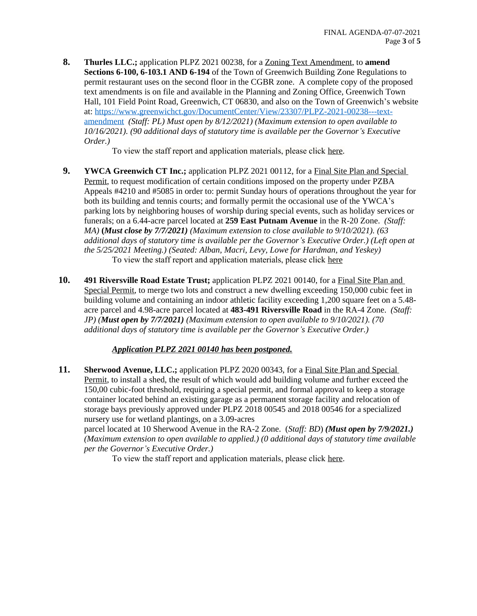**8. Thurles LLC.;** application PLPZ 2021 00238, for a Zoning Text Amendment, to **amend Sections 6-100, 6-103.1 AND 6-194** of the Town of Greenwich Building Zone Regulations to permit restaurant uses on the second floor in the CGBR zone. A complete copy of the proposed text amendments is on file and available in the Planning and Zoning Office, Greenwich Town Hall, 101 Field Point Road, Greenwich, CT 06830, and also on the Town of Greenwich's website at: [https://www.greenwichct.gov/DocumentCenter/View/23307/PLPZ-2021-00238---text](https://www.greenwichct.gov/DocumentCenter/View/23307/PLPZ-2021-00238---text-amendment)amendment *(Staff: PL) Must open by 8/12/2021) (Maximum extension to open available to 10/16/2021). (90 additional days of statutory time is available per the Governor's Executive Order.)* 

To view the staff report and application materials, please click [here.](https://www.greenwichct.gov/DocumentCenter/View/23395/PLPZ-2021-00238---CGBR---Text-Amendment-6-100-6-1031---restaurant--Staff-Report)

- **9. [YWCA Greenwich CT Inc.;](https://www.greenwichct.gov/DocumentCenter/View/23395/PLPZ-2021-00238---CGBR---Text-Amendment-6-100-6-1031---restaurant--Staff-Report)** [application PLPZ 2021 00112, for a Final Site Plan and Special](https://www.greenwichct.gov/DocumentCenter/View/23395/PLPZ-2021-00238---CGBR---Text-Amendment-6-100-6-1031---restaurant--Staff-Report)  [Permit, to request modification of certain conditions imposed on the property under PZBA](https://www.greenwichct.gov/DocumentCenter/View/23395/PLPZ-2021-00238---CGBR---Text-Amendment-6-100-6-1031---restaurant--Staff-Report)  [Appeals #4210 and #5085 in order to: permit Sunday hours of operations throughout the year for](https://www.greenwichct.gov/DocumentCenter/View/23395/PLPZ-2021-00238---CGBR---Text-Amendment-6-100-6-1031---restaurant--Staff-Report)  [both its building and tennis courts; and formally permit the occasional use of the YWCA](https://www.greenwichct.gov/DocumentCenter/View/23395/PLPZ-2021-00238---CGBR---Text-Amendment-6-100-6-1031---restaurant--Staff-Report)'s [parking lots by neighboring houses of worship during special events, such as holiday services or](https://www.greenwichct.gov/DocumentCenter/View/23395/PLPZ-2021-00238---CGBR---Text-Amendment-6-100-6-1031---restaurant--Staff-Report)  [funerals; on a 6.44-acre parcel located at](https://www.greenwichct.gov/DocumentCenter/View/23395/PLPZ-2021-00238---CGBR---Text-Amendment-6-100-6-1031---restaurant--Staff-Report) **[259 East Putnam Avenue](https://www.greenwichct.gov/DocumentCenter/View/23395/PLPZ-2021-00238---CGBR---Text-Amendment-6-100-6-1031---restaurant--Staff-Report)** [in the R-20 Zone.](https://www.greenwichct.gov/DocumentCenter/View/23395/PLPZ-2021-00238---CGBR---Text-Amendment-6-100-6-1031---restaurant--Staff-Report) *[\(Staff:](https://www.greenwichct.gov/DocumentCenter/View/23395/PLPZ-2021-00238---CGBR---Text-Amendment-6-100-6-1031---restaurant--Staff-Report)  [MA\)](https://www.greenwichct.gov/DocumentCenter/View/23395/PLPZ-2021-00238---CGBR---Text-Amendment-6-100-6-1031---restaurant--Staff-Report)* **[\(](https://www.greenwichct.gov/DocumentCenter/View/23395/PLPZ-2021-00238---CGBR---Text-Amendment-6-100-6-1031---restaurant--Staff-Report)***[Must close by 7/7/2021\)](https://www.greenwichct.gov/DocumentCenter/View/23395/PLPZ-2021-00238---CGBR---Text-Amendment-6-100-6-1031---restaurant--Staff-Report) [\(Maximum extension to close available to 9/10/2021\). \(63](https://www.greenwichct.gov/DocumentCenter/View/23395/PLPZ-2021-00238---CGBR---Text-Amendment-6-100-6-1031---restaurant--Staff-Report) [additional days of statutory time is available per the Governor](https://www.greenwichct.gov/DocumentCenter/View/23395/PLPZ-2021-00238---CGBR---Text-Amendment-6-100-6-1031---restaurant--Staff-Report)'s Executive Order.) [\(Left open at](https://www.greenwichct.gov/DocumentCenter/View/23395/PLPZ-2021-00238---CGBR---Text-Amendment-6-100-6-1031---restaurant--Staff-Report)  [the 5/25/2021 Meeting.\) \(Seated: Alban, Macri, Levy, Lowe for Hardman, and Yeskey\)](https://www.greenwichct.gov/DocumentCenter/View/23395/PLPZ-2021-00238---CGBR---Text-Amendment-6-100-6-1031---restaurant--Staff-Report)* [To](https://www.greenwichct.gov/DocumentCenter/View/23395/PLPZ-2021-00238---CGBR---Text-Amendment-6-100-6-1031---restaurant--Staff-Report) [view the staff report and application materials, please click](https://www.greenwichct.gov/DocumentCenter/View/23395/PLPZ-2021-00238---CGBR---Text-Amendment-6-100-6-1031---restaurant--Staff-Report) [here](https://www.greenwichct.gov/DocumentCenter/View/23428/PLPZ202100112-259-East-Putnam-Ave-YWCA-Sunday-hours-staff-report-FSP-SPEC-2nd-update)
- **10. 491 Riversville Road Estate Trust;** application PLPZ 2021 00140, for a Final Site Plan and Special Permit, to merge two lots and construct a new dwelling exceeding 150,000 cubic feet in building volume and containing an indoor athletic facility exceeding 1,200 square feet on a 5.48 acre parcel and 4.98-acre parcel located at **483-491 Riversville Road** in the RA-4 Zone. *(Staff: JP) (Must open by 7/7/2021) (Maximum extension to open available to 9/10/2021). (70 additional days of statutory time is available per the Governor's Executive Order.)*

#### *Application PLPZ 2021 00140 has been postponed.*

**11. Sherwood Avenue, LLC.;** application PLPZ 2020 00343, for a Final Site Plan and Special Permit, to install a shed, the result of which would add building volume and further exceed the 150,00 cubic-foot threshold, requiring a special permit, and formal approval to keep a storage container located behind an existing garage as a permanent storage facility and relocation of storage bays previously approved under PLPZ 2018 00545 and 2018 00546 for a specialized nursery use for wetland plantings, on a 3.09-acres

parcel located at 10 Sherwood Avenue in the RA-2 Zone. (*Staff: BD*) *(Must open by 7/9/2021.) (Maximum extension to open available to applied.) (0 additional days of statutory time available per the Governor's Executive Order.)*

To view the staff report and application materials, please click [here.](https://www.greenwichct.gov/DocumentCenter/View/23427/10-Sherwood-Avenue---PLPZ-2020-00343---Staff-Report-Reduced-7-2-21)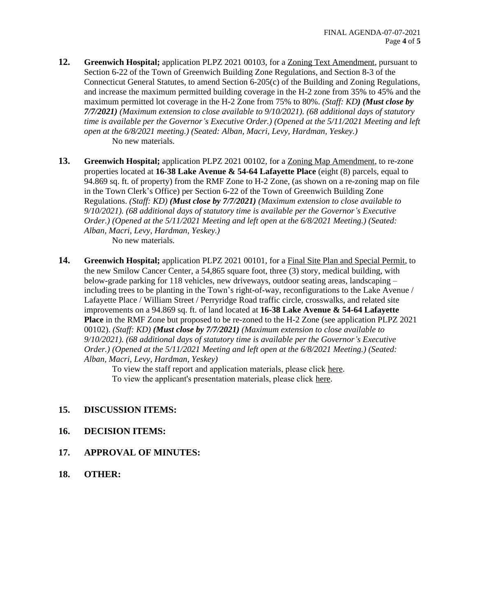- **12. Greenwich Hospital;** application PLPZ 2021 00103, for a Zoning Text Amendment, pursuant to Section 6-22 of the Town of Greenwich Building Zone Regulations, and Section 8-3 of the Connecticut General Statutes, to amend Section 6-205(c) of the Building and Zoning Regulations, and increase the maximum permitted building coverage in the H-2 zone from 35% to 45% and the maximum permitted lot coverage in the H-2 Zone from 75% to 80%. *(Staff: KD) (Must close by 7/7/2021) (Maximum extension to close available to 9/10/2021). (68 additional days of statutory time is available per the Governor's Executive Order.) (Opened at the 5/11/2021 Meeting and left open at the 6/8/2021 meeting.) (Seated: Alban, Macri, Levy, Hardman, Yeskey.)*  No new materials.
- **13. Greenwich Hospital;** application PLPZ 2021 00102, for a Zoning Map Amendment, to re-zone properties located at **16-38 Lake Avenue & 54-64 Lafayette Place** (eight (8) parcels, equal to 94.869 sq. ft. of property) from the RMF Zone to H-2 Zone, (as shown on a re-zoning map on file in the Town Clerk's Office) per Section 6-22 of the Town of Greenwich Building Zone Regulations. *(Staff: KD) (Must close by 7/7/2021) (Maximum extension to close available to 9/10/2021). (68 additional days of statutory time is available per the Governor's Executive Order.) (Opened at the 5/11/2021 Meeting and left open at the 6/8/2021 Meeting.) (Seated: Alban, Macri, Levy, Hardman, Yeskey.)*

No new materials.

**14. Greenwich Hospital;** application PLPZ 2021 00101, for a Final Site Plan and Special Permit, to the new Smilow Cancer Center, a 54,865 square foot, three (3) story, medical building, with below-grade parking for 118 vehicles, new driveways, outdoor seating areas, landscaping – including trees to be planting in the Town's right-of-way, reconfigurations to the Lake Avenue / Lafayette Place / William Street / Perryridge Road traffic circle, crosswalks, and related site improvements on a 94.869 sq. ft. of land located at **16-38 Lake Avenue & 54-64 Lafayette Place** in the RMF Zone but proposed to be re-zoned to the H-2 Zone (see application PLPZ 2021 00102). *(Staff: KD) (Must close by 7/7/2021) (Maximum extension to close available to 9/10/2021). (68 additional days of statutory time is available per the Governor's Executive Order.) (Opened at the 5/11/2021 Meeting and left open at the 6/8/2021 Meeting.) (Seated: Alban, Macri, Levy, Hardman, Yeskey)*

> To view the staff report and application materials, please click [here.](https://www.greenwichct.gov/DocumentCenter/View/23392/PLPZ-2021-00101---SMILOW---Final-Site-Plan-and-special--combined) [To](https://www.greenwichct.gov/DocumentCenter/View/23392/PLPZ-2021-00101---SMILOW---Final-Site-Plan-and-special--combined) [view the applicant's presentation materials, please click](https://www.greenwichct.gov/DocumentCenter/View/23392/PLPZ-2021-00101---SMILOW---Final-Site-Plan-and-special--combined) [here.](https://www.greenwichct.gov/DocumentCenter/View/23398/07-07-2021_GH-Smilow-CC_PZC-Presentation)

- **15. [DISCUSSION ITEMS:](https://www.greenwichct.gov/DocumentCenter/View/23398/07-07-2021_GH-Smilow-CC_PZC-Presentation)**
- **16. [DECISION ITEMS:](https://www.greenwichct.gov/DocumentCenter/View/23398/07-07-2021_GH-Smilow-CC_PZC-Presentation)**
- **17. [APPROVAL OF MINUTES:](https://www.greenwichct.gov/DocumentCenter/View/23398/07-07-2021_GH-Smilow-CC_PZC-Presentation)**
- **18. [OTHER:](https://www.greenwichct.gov/DocumentCenter/View/23398/07-07-2021_GH-Smilow-CC_PZC-Presentation)**